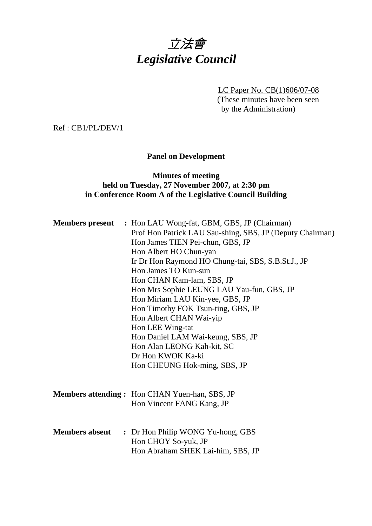# 立法會 *Legislative Council*

LC Paper No. CB(1)606/07-08 (These minutes have been seen by the Administration)

Ref : CB1/PL/DEV/1

## **Panel on Development**

## **Minutes of meeting held on Tuesday, 27 November 2007, at 2:30 pm in Conference Room A of the Legislative Council Building**

|                       | <b>Members present</b> : Hon LAU Wong-fat, GBM, GBS, JP (Chairman)<br>Prof Hon Patrick LAU Sau-shing, SBS, JP (Deputy Chairman)<br>Hon James TIEN Pei-chun, GBS, JP<br>Hon Albert HO Chun-yan<br>Ir Dr Hon Raymond HO Chung-tai, SBS, S.B.St.J., JP<br>Hon James TO Kun-sun<br>Hon CHAN Kam-lam, SBS, JP<br>Hon Mrs Sophie LEUNG LAU Yau-fun, GBS, JP<br>Hon Miriam LAU Kin-yee, GBS, JP<br>Hon Timothy FOK Tsun-ting, GBS, JP<br>Hon Albert CHAN Wai-yip<br>Hon LEE Wing-tat<br>Hon Daniel LAM Wai-keung, SBS, JP<br>Hon Alan LEONG Kah-kit, SC<br>Dr Hon KWOK Ka-ki |
|-----------------------|-----------------------------------------------------------------------------------------------------------------------------------------------------------------------------------------------------------------------------------------------------------------------------------------------------------------------------------------------------------------------------------------------------------------------------------------------------------------------------------------------------------------------------------------------------------------------|
|                       | Hon CHEUNG Hok-ming, SBS, JP<br><b>Members attending:</b> Hon CHAN Yuen-han, SBS, JP<br>Hon Vincent FANG Kang, JP                                                                                                                                                                                                                                                                                                                                                                                                                                                     |
| <b>Members absent</b> | : Dr Hon Philip WONG Yu-hong, GBS<br>Hon CHOY So-yuk, JP<br>Hon Abraham SHEK Lai-him, SBS, JP                                                                                                                                                                                                                                                                                                                                                                                                                                                                         |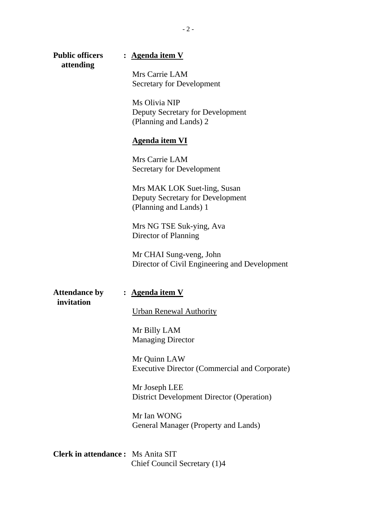| <b>Public officers</b><br>attending      | : <u>Agenda item V</u>                                                                     |  |  |  |  |
|------------------------------------------|--------------------------------------------------------------------------------------------|--|--|--|--|
|                                          | Mrs Carrie LAM<br><b>Secretary for Development</b>                                         |  |  |  |  |
|                                          | Ms Olivia NIP<br>Deputy Secretary for Development<br>(Planning and Lands) 2                |  |  |  |  |
|                                          | <b>Agenda item VI</b>                                                                      |  |  |  |  |
|                                          | Mrs Carrie LAM<br>Secretary for Development                                                |  |  |  |  |
|                                          | Mrs MAK LOK Suet-ling, Susan<br>Deputy Secretary for Development<br>(Planning and Lands) 1 |  |  |  |  |
|                                          | Mrs NG TSE Suk-ying, Ava<br>Director of Planning                                           |  |  |  |  |
|                                          | Mr CHAI Sung-veng, John<br>Director of Civil Engineering and Development                   |  |  |  |  |
| <b>Attendance by</b><br>invitation       | : <u>Agenda item V</u>                                                                     |  |  |  |  |
|                                          | <b>Urban Renewal Authority</b>                                                             |  |  |  |  |
|                                          | Mr Billy LAM<br><b>Managing Director</b>                                                   |  |  |  |  |
|                                          | Mr Quinn LAW<br><b>Executive Director (Commercial and Corporate)</b>                       |  |  |  |  |
|                                          | Mr Joseph LEE<br><b>District Development Director (Operation)</b>                          |  |  |  |  |
|                                          | Mr Ian WONG<br>General Manager (Property and Lands)                                        |  |  |  |  |
| <b>Clerk in attendance:</b> Ms Anita SIT | Chief Council Secretary (1)4                                                               |  |  |  |  |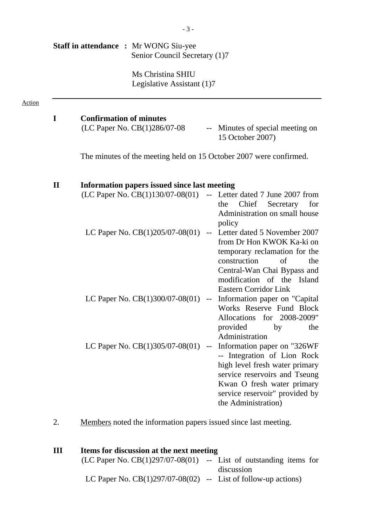|              |                                | <b>Staff in attendance : Mr WONG Siu-yee</b><br>Senior Council Secretary (1)7 |                                               |                                                                                                                                                                                                                      |
|--------------|--------------------------------|-------------------------------------------------------------------------------|-----------------------------------------------|----------------------------------------------------------------------------------------------------------------------------------------------------------------------------------------------------------------------|
|              |                                | Ms Christina SHIU<br>Legislative Assistant (1)7                               |                                               |                                                                                                                                                                                                                      |
| I            | <b>Confirmation of minutes</b> |                                                                               |                                               |                                                                                                                                                                                                                      |
|              |                                | (LC Paper No. CB(1)286/07-08                                                  | $\mathord{\hspace{1pt}\text{--}\hspace{1pt}}$ | Minutes of special meeting on<br>15 October 2007)                                                                                                                                                                    |
|              |                                |                                                                               |                                               | The minutes of the meeting held on 15 October 2007 were confirmed.                                                                                                                                                   |
| $\mathbf{I}$ |                                | Information papers issued since last meeting                                  |                                               |                                                                                                                                                                                                                      |
|              |                                |                                                                               |                                               | $(LC$ Paper No. $CB(1)130/07-08(01)$ -- Letter dated 7 June 2007 from<br>Chief<br>Secretary<br>the<br>Administration on small house<br>policy                                                                        |
|              |                                | LC Paper No. CB(1)205/07-08(01)                                               | $\mathord{\hspace{1pt}\text{--}\hspace{1pt}}$ | Letter dated 5 November 2007<br>from Dr Hon KWOK Ka-ki on<br>temporary reclamation for the<br>construction<br>of<br>Central-Wan Chai Bypass and<br>modification of the Island<br><b>Eastern Corridor Link</b>        |
|              |                                | LC Paper No. $CB(1)300/07-08(01)$                                             | $\mathbb{L}^{\perp}$                          | Information paper on "Capital<br>Works Reserve Fund Block<br>Allocations for 2008-2009"<br>provided<br>by<br>Administration                                                                                          |
|              |                                | LC Paper No. $CB(1)305/07-08(01)$                                             | $\mathord{\hspace{1pt}\text{--}\hspace{1pt}}$ | Information paper on "326WF<br>-- Integration of Lion Rock<br>high level fresh water primary<br>service reservoirs and Tseung<br>Kwan O fresh water primary<br>service reservoir" provided by<br>the Administration) |
| 2.           |                                |                                                                               |                                               | Members noted the information papers issued since last meeting.                                                                                                                                                      |

| Ш | Items for discussion at the next meeting                              |  |            |
|---|-----------------------------------------------------------------------|--|------------|
|   | $(LC$ Paper No. $CB(1)297/07-08(01)$ -- List of outstanding items for |  |            |
|   |                                                                       |  | discussion |
|   | LC Paper No. $CB(1)297/07-08(02)$ -- List of follow-up actions)       |  |            |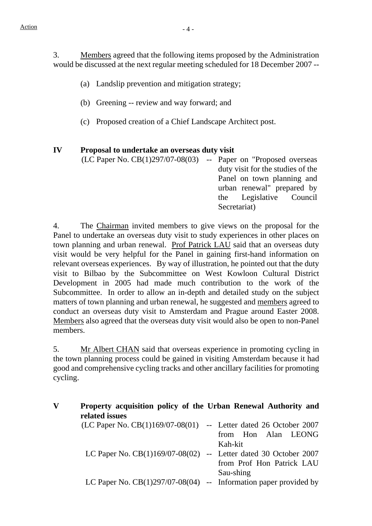3. Members agreed that the following items proposed by the Administration would be discussed at the next regular meeting scheduled for 18 December 2007 --

- (a) Landslip prevention and mitigation strategy;
- (b) Greening -- review and way forward; and
- (c) Proposed creation of a Chief Landscape Architect post.

#### **IV Proposal to undertake an overseas duty visit**

(LC Paper No. CB(1)297/07-08(03) -- Paper on "Proposed overseas duty visit for the studies of the Panel on town planning and urban renewal" prepared by the Legislative Council Secretariat)

4. The Chairman invited members to give views on the proposal for the Panel to undertake an overseas duty visit to study experiences in other places on town planning and urban renewal. Prof Patrick LAU said that an overseas duty visit would be very helpful for the Panel in gaining first-hand information on relevant overseas experiences. By way of illustration, he pointed out that the duty visit to Bilbao by the Subcommittee on West Kowloon Cultural District Development in 2005 had made much contribution to the work of the Subcommittee. In order to allow an in-depth and detailed study on the subject matters of town planning and urban renewal, he suggested and members agreed to conduct an overseas duty visit to Amsterdam and Prague around Easter 2008. Members also agreed that the overseas duty visit would also be open to non-Panel members.

5. Mr Albert CHAN said that overseas experience in promoting cycling in the town planning process could be gained in visiting Amsterdam because it had good and comprehensive cycling tracks and other ancillary facilities for promoting cycling.

| V | Property acquisition policy of the Urban Renewal Authority and<br>related issues |                           |
|---|----------------------------------------------------------------------------------|---------------------------|
|   | $(LC$ Paper No. $CB(1)169/07-08(01)$ -- Letter dated 26 October 2007             |                           |
|   |                                                                                  | from Hon Alan LEONG       |
|   |                                                                                  | Kah-kit                   |
|   | LC Paper No. $CB(1)169/07-08(02)$ -- Letter dated 30 October 2007                |                           |
|   |                                                                                  | from Prof Hon Patrick LAU |
|   |                                                                                  | Sau-shing                 |
|   | LC Paper No. $CB(1)297/07-08(04)$ -- Information paper provided by               |                           |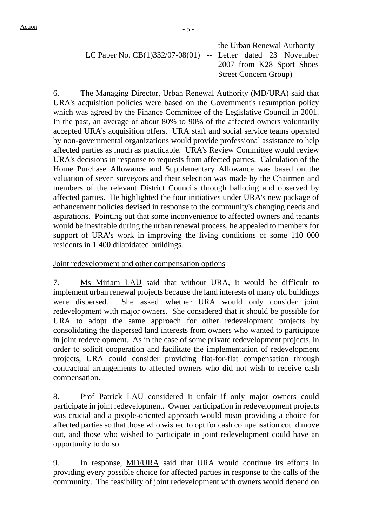|                                                               | the Urban Renewal Authority   |
|---------------------------------------------------------------|-------------------------------|
| LC Paper No. $CB(1)332/07-08(01)$ -- Letter dated 23 November |                               |
|                                                               | 2007 from K28 Sport Shoes     |
|                                                               | <b>Street Concern Group</b> ) |
|                                                               |                               |

6. The Managing Director, Urban Renewal Authority (MD/URA) said that URA's acquisition policies were based on the Government's resumption policy which was agreed by the Finance Committee of the Legislative Council in 2001. In the past, an average of about 80% to 90% of the affected owners voluntarily accepted URA's acquisition offers. URA staff and social service teams operated by non-governmental organizations would provide professional assistance to help affected parties as much as practicable. URA's Review Committee would review URA's decisions in response to requests from affected parties. Calculation of the Home Purchase Allowance and Supplementary Allowance was based on the valuation of seven surveyors and their selection was made by the Chairmen and members of the relevant District Councils through balloting and observed by affected parties. He highlighted the four initiatives under URA's new package of enhancement policies devised in response to the community's changing needs and aspirations. Pointing out that some inconvenience to affected owners and tenants would be inevitable during the urban renewal process, he appealed to members for support of URA's work in improving the living conditions of some 110 000 residents in 1 400 dilapidated buildings.

Joint redevelopment and other compensation options

7. Ms Miriam LAU said that without URA, it would be difficult to implement urban renewal projects because the land interests of many old buildings were dispersed. She asked whether URA would only consider joint redevelopment with major owners. She considered that it should be possible for URA to adopt the same approach for other redevelopment projects by consolidating the dispersed land interests from owners who wanted to participate in joint redevelopment. As in the case of some private redevelopment projects, in order to solicit cooperation and facilitate the implementation of redevelopment projects, URA could consider providing flat-for-flat compensation through contractual arrangements to affected owners who did not wish to receive cash compensation.

8. Prof Patrick LAU considered it unfair if only major owners could participate in joint redevelopment. Owner participation in redevelopment projects was crucial and a people-oriented approach would mean providing a choice for affected parties so that those who wished to opt for cash compensation could move out, and those who wished to participate in joint redevelopment could have an opportunity to do so.

9. In response, MD/URA said that URA would continue its efforts in providing every possible choice for affected parties in response to the calls of the community. The feasibility of joint redevelopment with owners would depend on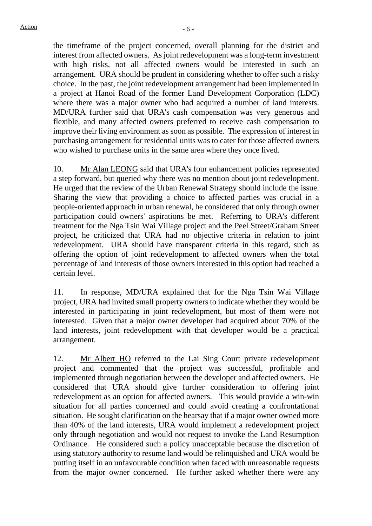the timeframe of the project concerned, overall planning for the district and interest from affected owners. As joint redevelopment was a long-term investment with high risks, not all affected owners would be interested in such an arrangement. URA should be prudent in considering whether to offer such a risky choice. In the past, the joint redevelopment arrangement had been implemented in a project at Hanoi Road of the former Land Development Corporation (LDC) where there was a major owner who had acquired a number of land interests. MD/URA further said that URA's cash compensation was very generous and flexible, and many affected owners preferred to receive cash compensation to improve their living environment as soon as possible. The expression of interest in purchasing arrangement for residential units was to cater for those affected owners who wished to purchase units in the same area where they once lived.

10. Mr Alan LEONG said that URA's four enhancement policies represented a step forward, but queried why there was no mention about joint redevelopment. He urged that the review of the Urban Renewal Strategy should include the issue. Sharing the view that providing a choice to affected parties was crucial in a people-oriented approach in urban renewal, he considered that only through owner participation could owners' aspirations be met. Referring to URA's different treatment for the Nga Tsin Wai Village project and the Peel Street/Graham Street project, he criticized that URA had no objective criteria in relation to joint redevelopment. URA should have transparent criteria in this regard, such as offering the option of joint redevelopment to affected owners when the total percentage of land interests of those owners interested in this option had reached a certain level.

11. In response, MD/URA explained that for the Nga Tsin Wai Village project, URA had invited small property owners to indicate whether they would be interested in participating in joint redevelopment, but most of them were not interested. Given that a major owner developer had acquired about 70% of the land interests, joint redevelopment with that developer would be a practical arrangement.

12. Mr Albert HO referred to the Lai Sing Court private redevelopment project and commented that the project was successful, profitable and implemented through negotiation between the developer and affected owners. He considered that URA should give further consideration to offering joint redevelopment as an option for affected owners. This would provide a win-win situation for all parties concerned and could avoid creating a confrontational situation. He sought clarification on the hearsay that if a major owner owned more than 40% of the land interests, URA would implement a redevelopment project only through negotiation and would not request to invoke the Land Resumption Ordinance. He considered such a policy unacceptable because the discretion of using statutory authority to resume land would be relinquished and URA would be putting itself in an unfavourable condition when faced with unreasonable requests from the major owner concerned. He further asked whether there were any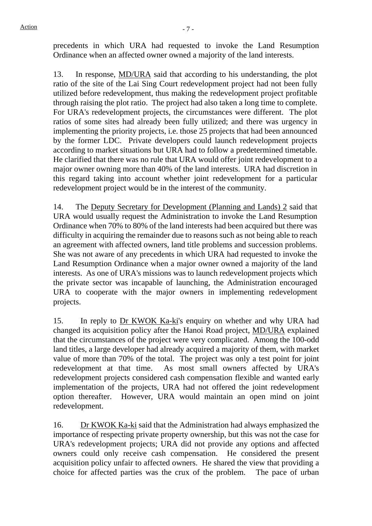precedents in which URA had requested to invoke the Land Resumption Ordinance when an affected owner owned a majority of the land interests.

13. In response, MD/URA said that according to his understanding, the plot ratio of the site of the Lai Sing Court redevelopment project had not been fully utilized before redevelopment, thus making the redevelopment project profitable through raising the plot ratio. The project had also taken a long time to complete. For URA's redevelopment projects, the circumstances were different. The plot ratios of some sites had already been fully utilized; and there was urgency in implementing the priority projects, i.e. those 25 projects that had been announced by the former LDC. Private developers could launch redevelopment projects according to market situations but URA had to follow a predetermined timetable. He clarified that there was no rule that URA would offer joint redevelopment to a major owner owning more than 40% of the land interests. URA had discretion in this regard taking into account whether joint redevelopment for a particular redevelopment project would be in the interest of the community.

14. The Deputy Secretary for Development (Planning and Lands) 2 said that URA would usually request the Administration to invoke the Land Resumption Ordinance when 70% to 80% of the land interests had been acquired but there was difficulty in acquiring the remainder due to reasons such as not being able to reach an agreement with affected owners, land title problems and succession problems. She was not aware of any precedents in which URA had requested to invoke the Land Resumption Ordinance when a major owner owned a majority of the land interests. As one of URA's missions was to launch redevelopment projects which the private sector was incapable of launching, the Administration encouraged URA to cooperate with the major owners in implementing redevelopment projects.

15. In reply to Dr KWOK Ka-ki's enquiry on whether and why URA had changed its acquisition policy after the Hanoi Road project, MD/URA explained that the circumstances of the project were very complicated. Among the 100-odd land titles, a large developer had already acquired a majority of them, with market value of more than 70% of the total. The project was only a test point for joint redevelopment at that time. As most small owners affected by URA's redevelopment projects considered cash compensation flexible and wanted early implementation of the projects, URA had not offered the joint redevelopment option thereafter. However, URA would maintain an open mind on joint redevelopment.

16. Dr KWOK Ka-ki said that the Administration had always emphasized the importance of respecting private property ownership, but this was not the case for URA's redevelopment projects; URA did not provide any options and affected owners could only receive cash compensation. He considered the present acquisition policy unfair to affected owners. He shared the view that providing a choice for affected parties was the crux of the problem. The pace of urban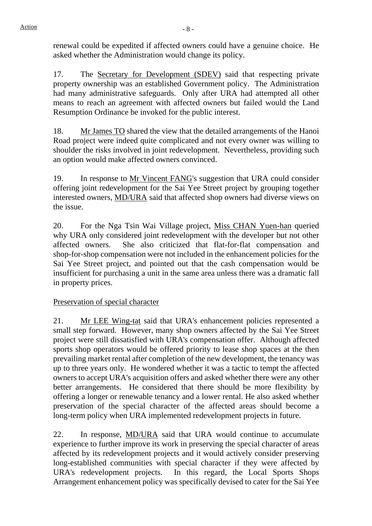renewal could be expedited if affected owners could have a genuine choice. He asked whether the Administration would change its policy.

17. The Secretary for Development (SDEV) said that respecting private property ownership was an established Government policy. The Administration had many administrative safeguards. Only after URA had attempted all other means to reach an agreement with affected owners but failed would the Land Resumption Ordinance be invoked for the public interest.

18. Mr James TO shared the view that the detailed arrangements of the Hanoi Road project were indeed quite complicated and not every owner was willing to shoulder the risks involved in joint redevelopment. Nevertheless, providing such an option would make affected owners convinced.

19. In response to Mr Vincent FANG's suggestion that URA could consider offering joint redevelopment for the Sai Yee Street project by grouping together interested owners, MD/URA said that affected shop owners had diverse views on the issue.

20. For the Nga Tsin Wai Village project, Miss CHAN Yuen-han queried why URA only considered joint redevelopment with the developer but not other affected owners. She also criticized that flat-for-flat compensation and shop-for-shop compensation were not included in the enhancement policies for the Sai Yee Street project, and pointed out that the cash compensation would be insufficient for purchasing a unit in the same area unless there was a dramatic fall in property prices.

## Preservation of special character

21. Mr LEE Wing-tat said that URA's enhancement policies represented a small step forward. However, many shop owners affected by the Sai Yee Street project were still dissatisfied with URA's compensation offer. Although affected sports shop operators would be offered priority to lease shop spaces at the then prevailing market rental after completion of the new development, the tenancy was up to three years only. He wondered whether it was a tactic to tempt the affected owners to accept URA's acquisition offers and asked whether there were any other better arrangements. He considered that there should be more flexibility by offering a longer or renewable tenancy and a lower rental. He also asked whether preservation of the special character of the affected areas should become a long-term policy when URA implemented redevelopment projects in future.

22. In response, MD/URA said that URA would continue to accumulate experience to further improve its work in preserving the special character of areas affected by its redevelopment projects and it would actively consider preserving long-established communities with special character if they were affected by URA's redevelopment projects. In this regard, the Local Sports Shops Arrangement enhancement policy was specifically devised to cater for the Sai Yee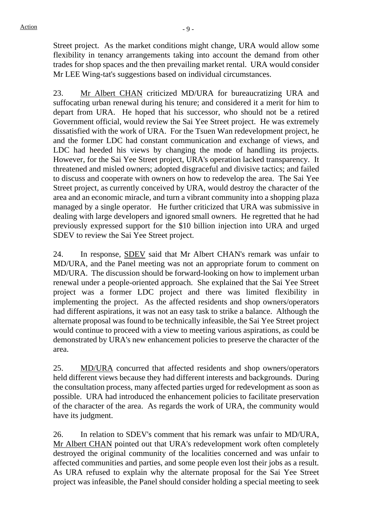Street project. As the market conditions might change, URA would allow some flexibility in tenancy arrangements taking into account the demand from other trades for shop spaces and the then prevailing market rental. URA would consider Mr LEE Wing-tat's suggestions based on individual circumstances.

23. Mr Albert CHAN criticized MD/URA for bureaucratizing URA and suffocating urban renewal during his tenure; and considered it a merit for him to depart from URA. He hoped that his successor, who should not be a retired Government official, would review the Sai Yee Street project. He was extremely dissatisfied with the work of URA. For the Tsuen Wan redevelopment project, he and the former LDC had constant communication and exchange of views, and LDC had heeded his views by changing the mode of handling its projects. However, for the Sai Yee Street project, URA's operation lacked transparency. It threatened and misled owners; adopted disgraceful and divisive tactics; and failed to discuss and cooperate with owners on how to redevelop the area. The Sai Yee Street project, as currently conceived by URA, would destroy the character of the area and an economic miracle, and turn a vibrant community into a shopping plaza managed by a single operator. He further criticized that URA was submissive in dealing with large developers and ignored small owners. He regretted that he had previously expressed support for the \$10 billion injection into URA and urged SDEV to review the Sai Yee Street project.

24. In response, **SDEV** said that Mr Albert CHAN's remark was unfair to MD/URA, and the Panel meeting was not an appropriate forum to comment on MD/URA. The discussion should be forward-looking on how to implement urban renewal under a people-oriented approach. She explained that the Sai Yee Street project was a former LDC project and there was limited flexibility in implementing the project. As the affected residents and shop owners/operators had different aspirations, it was not an easy task to strike a balance. Although the alternate proposal was found to be technically infeasible, the Sai Yee Street project would continue to proceed with a view to meeting various aspirations, as could be demonstrated by URA's new enhancement policies to preserve the character of the area.

25. MD/URA concurred that affected residents and shop owners/operators held different views because they had different interests and backgrounds. During the consultation process, many affected parties urged for redevelopment as soon as possible. URA had introduced the enhancement policies to facilitate preservation of the character of the area. As regards the work of URA, the community would have its judgment.

26. In relation to SDEV's comment that his remark was unfair to MD/URA, Mr Albert CHAN pointed out that URA's redevelopment work often completely destroyed the original community of the localities concerned and was unfair to affected communities and parties, and some people even lost their jobs as a result. As URA refused to explain why the alternate proposal for the Sai Yee Street project was infeasible, the Panel should consider holding a special meeting to seek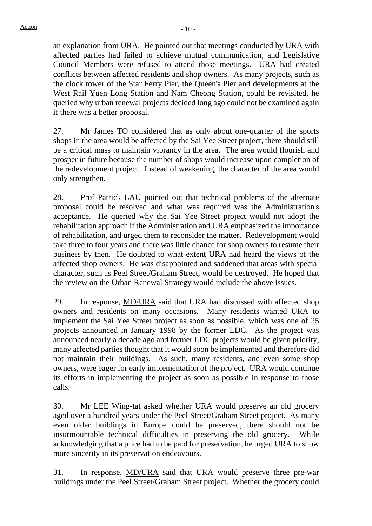an explanation from URA. He pointed out that meetings conducted by URA with affected parties had failed to achieve mutual communication, and Legislative Council Members were refused to attend those meetings. URA had created conflicts between affected residents and shop owners. As many projects, such as the clock tower of the Star Ferry Pier, the Queen's Pier and developments at the West Rail Yuen Long Station and Nam Cheong Station, could be revisited, he queried why urban renewal projects decided long ago could not be examined again if there was a better proposal.

27. Mr James TO considered that as only about one-quarter of the sports shops in the area would be affected by the Sai Yee Street project, there should still be a critical mass to maintain vibrancy in the area. The area would flourish and prosper in future because the number of shops would increase upon completion of the redevelopment project. Instead of weakening, the character of the area would only strengthen.

28. Prof Patrick LAU pointed out that technical problems of the alternate proposal could be resolved and what was required was the Administration's acceptance. He queried why the Sai Yee Street project would not adopt the rehabilitation approach if the Administration and URA emphasized the importance of rehabilitation, and urged them to reconsider the matter. Redevelopment would take three to four years and there was little chance for shop owners to resume their business by then. He doubted to what extent URA had heard the views of the affected shop owners. He was disappointed and saddened that areas with special character, such as Peel Street/Graham Street, would be destroyed. He hoped that the review on the Urban Renewal Strategy would include the above issues.

29. In response, MD/URA said that URA had discussed with affected shop owners and residents on many occasions. Many residents wanted URA to implement the Sai Yee Street project as soon as possible, which was one of 25 projects announced in January 1998 by the former LDC. As the project was announced nearly a decade ago and former LDC projects would be given priority, many affected parties thought that it would soon be implemented and therefore did not maintain their buildings. As such, many residents, and even some shop owners, were eager for early implementation of the project. URA would continue its efforts in implementing the project as soon as possible in response to those calls.

30. Mr LEE Wing-tat asked whether URA would preserve an old grocery aged over a hundred years under the Peel Street/Graham Street project. As many even older buildings in Europe could be preserved, there should not be insurmountable technical difficulties in preserving the old grocery. While acknowledging that a price had to be paid for preservation, he urged URA to show more sincerity in its preservation endeavours.

31. In response, MD/URA said that URA would preserve three pre-war buildings under the Peel Street/Graham Street project. Whether the grocery could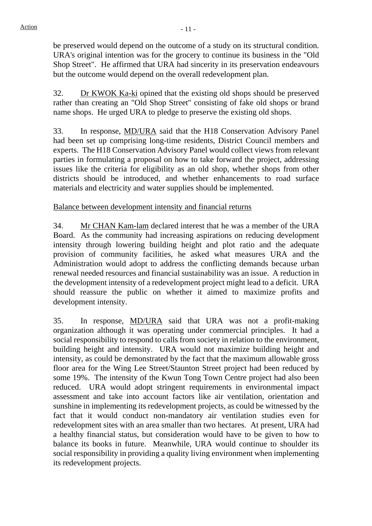be preserved would depend on the outcome of a study on its structural condition. URA's original intention was for the grocery to continue its business in the "Old Shop Street". He affirmed that URA had sincerity in its preservation endeavours but the outcome would depend on the overall redevelopment plan.

32. Dr KWOK Ka-ki opined that the existing old shops should be preserved rather than creating an "Old Shop Street" consisting of fake old shops or brand name shops. He urged URA to pledge to preserve the existing old shops.

33. In response, MD/URA said that the H18 Conservation Advisory Panel had been set up comprising long-time residents, District Council members and experts. The H18 Conservation Advisory Panel would collect views from relevant parties in formulating a proposal on how to take forward the project, addressing issues like the criteria for eligibility as an old shop, whether shops from other districts should be introduced, and whether enhancements to road surface materials and electricity and water supplies should be implemented.

## Balance between development intensity and financial returns

34. Mr CHAN Kam-lam declared interest that he was a member of the URA Board. As the community had increasing aspirations on reducing development intensity through lowering building height and plot ratio and the adequate provision of community facilities, he asked what measures URA and the Administration would adopt to address the conflicting demands because urban renewal needed resources and financial sustainability was an issue. A reduction in the development intensity of a redevelopment project might lead to a deficit. URA should reassure the public on whether it aimed to maximize profits and development intensity.

35. In response, MD/URA said that URA was not a profit-making organization although it was operating under commercial principles. It had a social responsibility to respond to calls from society in relation to the environment, building height and intensity. URA would not maximize building height and intensity, as could be demonstrated by the fact that the maximum allowable gross floor area for the Wing Lee Street/Staunton Street project had been reduced by some 19%. The intensity of the Kwun Tong Town Centre project had also been reduced. URA would adopt stringent requirements in environmental impact assessment and take into account factors like air ventilation, orientation and sunshine in implementing its redevelopment projects, as could be witnessed by the fact that it would conduct non-mandatory air ventilation studies even for redevelopment sites with an area smaller than two hectares. At present, URA had a healthy financial status, but consideration would have to be given to how to balance its books in future. Meanwhile, URA would continue to shoulder its social responsibility in providing a quality living environment when implementing its redevelopment projects.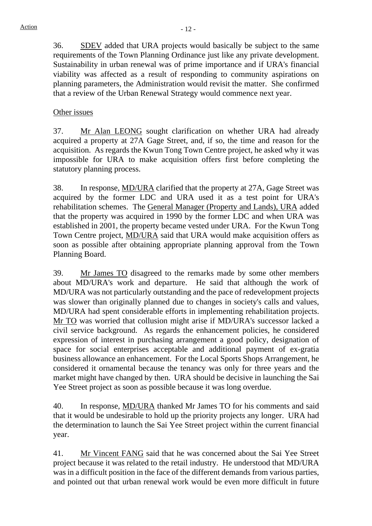36. SDEV added that URA projects would basically be subject to the same requirements of the Town Planning Ordinance just like any private development. Sustainability in urban renewal was of prime importance and if URA's financial viability was affected as a result of responding to community aspirations on planning parameters, the Administration would revisit the matter. She confirmed that a review of the Urban Renewal Strategy would commence next year.

### Other issues

37. Mr Alan LEONG sought clarification on whether URA had already acquired a property at 27A Gage Street, and, if so, the time and reason for the acquisition. As regards the Kwun Tong Town Centre project, he asked why it was impossible for URA to make acquisition offers first before completing the statutory planning process.

38. In response, MD/URA clarified that the property at 27A, Gage Street was acquired by the former LDC and URA used it as a test point for URA's rehabilitation schemes. The General Manager (Property and Lands), URA added that the property was acquired in 1990 by the former LDC and when URA was established in 2001, the property became vested under URA. For the Kwun Tong Town Centre project, MD/URA said that URA would make acquisition offers as soon as possible after obtaining appropriate planning approval from the Town Planning Board.

39. Mr James TO disagreed to the remarks made by some other members about MD/URA's work and departure. He said that although the work of MD/URA was not particularly outstanding and the pace of redevelopment projects was slower than originally planned due to changes in society's calls and values, MD/URA had spent considerable efforts in implementing rehabilitation projects. Mr TO was worried that collusion might arise if MD/URA's successor lacked a civil service background. As regards the enhancement policies, he considered expression of interest in purchasing arrangement a good policy, designation of space for social enterprises acceptable and additional payment of ex-gratia business allowance an enhancement. For the Local Sports Shops Arrangement, he considered it ornamental because the tenancy was only for three years and the market might have changed by then. URA should be decisive in launching the Sai Yee Street project as soon as possible because it was long overdue.

40. In response, MD/URA thanked Mr James TO for his comments and said that it would be undesirable to hold up the priority projects any longer. URA had the determination to launch the Sai Yee Street project within the current financial year.

41. Mr Vincent FANG said that he was concerned about the Sai Yee Street project because it was related to the retail industry. He understood that MD/URA was in a difficult position in the face of the different demands from various parties, and pointed out that urban renewal work would be even more difficult in future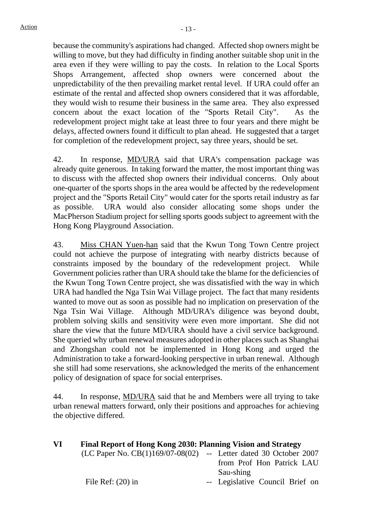because the community's aspirations had changed. Affected shop owners might be willing to move, but they had difficulty in finding another suitable shop unit in the area even if they were willing to pay the costs. In relation to the Local Sports Shops Arrangement, affected shop owners were concerned about the unpredictability of the then prevailing market rental level. If URA could offer an estimate of the rental and affected shop owners considered that it was affordable, they would wish to resume their business in the same area. They also expressed concern about the exact location of the "Sports Retail City". As the redevelopment project might take at least three to four years and there might be delays, affected owners found it difficult to plan ahead. He suggested that a target for completion of the redevelopment project, say three years, should be set.

42. In response, MD/URA said that URA's compensation package was already quite generous. In taking forward the matter, the most important thing was to discuss with the affected shop owners their individual concerns. Only about one-quarter of the sports shops in the area would be affected by the redevelopment project and the "Sports Retail City" would cater for the sports retail industry as far as possible. URA would also consider allocating some shops under the MacPherson Stadium project for selling sports goods subject to agreement with the Hong Kong Playground Association.

43. Miss CHAN Yuen-han said that the Kwun Tong Town Centre project could not achieve the purpose of integrating with nearby districts because of constraints imposed by the boundary of the redevelopment project. While Government policies rather than URA should take the blame for the deficiencies of the Kwun Tong Town Centre project, she was dissatisfied with the way in which URA had handled the Nga Tsin Wai Village project. The fact that many residents wanted to move out as soon as possible had no implication on preservation of the Nga Tsin Wai Village. Although MD/URA's diligence was beyond doubt, problem solving skills and sensitivity were even more important. She did not share the view that the future MD/URA should have a civil service background. She queried why urban renewal measures adopted in other places such as Shanghai and Zhongshan could not be implemented in Hong Kong and urged the Administration to take a forward-looking perspective in urban renewal. Although she still had some reservations, she acknowledged the merits of the enhancement policy of designation of space for social enterprises.

44. In response, MD/URA said that he and Members were all trying to take urban renewal matters forward, only their positions and approaches for achieving the objective differed.

| VI | Final Report of Hong Kong 2030: Planning Vision and Strategy |                                 |
|----|--------------------------------------------------------------|---------------------------------|
|    | (LC Paper No. $CB(1)169/07-08(02)$                           | -- Letter dated 30 October 2007 |
|    |                                                              | from Prof Hon Patrick LAU       |
|    |                                                              | Sau-shing                       |
|    | File Ref: $(20)$ in                                          | -- Legislative Council Brief on |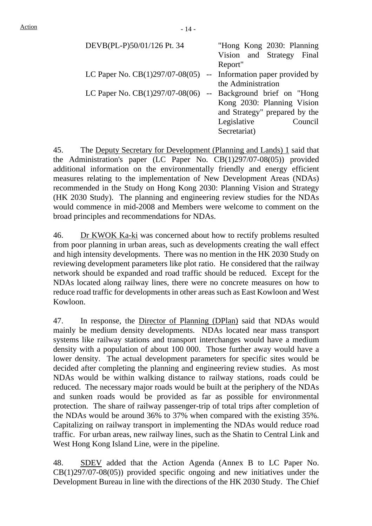| DEVB(PL-P)50/01/126 Pt. 34                                         | "Hong Kong 2030: Planning     |
|--------------------------------------------------------------------|-------------------------------|
|                                                                    | Vision and Strategy Final     |
|                                                                    | Report"                       |
| LC Paper No. $CB(1)297/07-08(05)$ -- Information paper provided by |                               |
|                                                                    | the Administration            |
| LC Paper No. $CB(1)297/07-08(06)$ -- Background brief on "Hong"    |                               |
|                                                                    | Kong 2030: Planning Vision    |
|                                                                    | and Strategy" prepared by the |
|                                                                    | Legislative<br>Council        |
|                                                                    | Secretariat)                  |

45. The Deputy Secretary for Development (Planning and Lands) 1 said that the Administration's paper (LC Paper No. CB(1)297/07-08(05)) provided additional information on the environmentally friendly and energy efficient measures relating to the implementation of New Development Areas (NDAs) recommended in the Study on Hong Kong 2030: Planning Vision and Strategy (HK 2030 Study). The planning and engineering review studies for the NDAs would commence in mid-2008 and Members were welcome to comment on the broad principles and recommendations for NDAs.

46. Dr KWOK Ka-ki was concerned about how to rectify problems resulted from poor planning in urban areas, such as developments creating the wall effect and high intensity developments. There was no mention in the HK 2030 Study on reviewing development parameters like plot ratio. He considered that the railway network should be expanded and road traffic should be reduced. Except for the NDAs located along railway lines, there were no concrete measures on how to reduce road traffic for developments in other areas such as East Kowloon and West Kowloon.

47. In response, the Director of Planning (DPlan) said that NDAs would mainly be medium density developments. NDAs located near mass transport systems like railway stations and transport interchanges would have a medium density with a population of about 100 000. Those further away would have a lower density. The actual development parameters for specific sites would be decided after completing the planning and engineering review studies. As most NDAs would be within walking distance to railway stations, roads could be reduced. The necessary major roads would be built at the periphery of the NDAs and sunken roads would be provided as far as possible for environmental protection. The share of railway passenger-trip of total trips after completion of the NDAs would be around 36% to 37% when compared with the existing 35%. Capitalizing on railway transport in implementing the NDAs would reduce road traffic. For urban areas, new railway lines, such as the Shatin to Central Link and West Hong Kong Island Line, were in the pipeline.

48. SDEV added that the Action Agenda (Annex B to LC Paper No.  $CB(1)297/07-08(05)$  provided specific ongoing and new initiatives under the Development Bureau in line with the directions of the HK 2030 Study. The Chief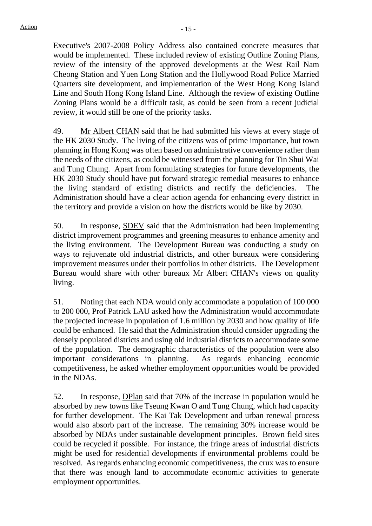Executive's 2007-2008 Policy Address also contained concrete measures that would be implemented. These included review of existing Outline Zoning Plans, review of the intensity of the approved developments at the West Rail Nam Cheong Station and Yuen Long Station and the Hollywood Road Police Married Quarters site development, and implementation of the West Hong Kong Island Line and South Hong Kong Island Line. Although the review of existing Outline Zoning Plans would be a difficult task, as could be seen from a recent judicial review, it would still be one of the priority tasks.

49. Mr Albert CHAN said that he had submitted his views at every stage of the HK 2030 Study. The living of the citizens was of prime importance, but town planning in Hong Kong was often based on administrative convenience rather than the needs of the citizens, as could be witnessed from the planning for Tin Shui Wai and Tung Chung. Apart from formulating strategies for future developments, the HK 2030 Study should have put forward strategic remedial measures to enhance the living standard of existing districts and rectify the deficiencies. The Administration should have a clear action agenda for enhancing every district in the territory and provide a vision on how the districts would be like by 2030.

50. In response, SDEV said that the Administration had been implementing district improvement programmes and greening measures to enhance amenity and the living environment. The Development Bureau was conducting a study on ways to rejuvenate old industrial districts, and other bureaux were considering improvement measures under their portfolios in other districts. The Development Bureau would share with other bureaux Mr Albert CHAN's views on quality living.

51. Noting that each NDA would only accommodate a population of 100 000 to 200 000, Prof Patrick LAU asked how the Administration would accommodate the projected increase in population of 1.6 million by 2030 and how quality of life could be enhanced. He said that the Administration should consider upgrading the densely populated districts and using old industrial districts to accommodate some of the population. The demographic characteristics of the population were also important considerations in planning. As regards enhancing economic competitiveness, he asked whether employment opportunities would be provided in the NDAs.

52. In response, DPlan said that 70% of the increase in population would be absorbed by new towns like Tseung Kwan O and Tung Chung, which had capacity for further development. The Kai Tak Development and urban renewal process would also absorb part of the increase. The remaining 30% increase would be absorbed by NDAs under sustainable development principles. Brown field sites could be recycled if possible. For instance, the fringe areas of industrial districts might be used for residential developments if environmental problems could be resolved. As regards enhancing economic competitiveness, the crux was to ensure that there was enough land to accommodate economic activities to generate employment opportunities.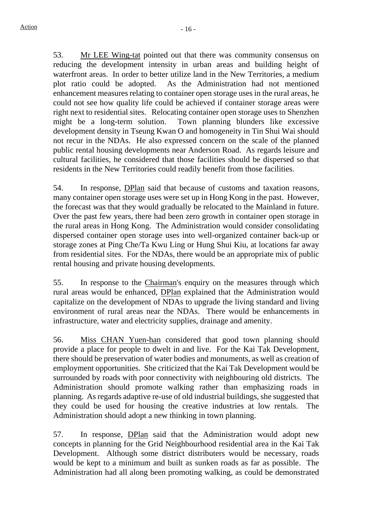53. Mr LEE Wing-tat pointed out that there was community consensus on reducing the development intensity in urban areas and building height of waterfront areas. In order to better utilize land in the New Territories, a medium plot ratio could be adopted. As the Administration had not mentioned enhancement measures relating to container open storage uses in the rural areas, he could not see how quality life could be achieved if container storage areas were right next to residential sites. Relocating container open storage uses to Shenzhen might be a long-term solution. Town planning blunders like excessive development density in Tseung Kwan O and homogeneity in Tin Shui Wai should not recur in the NDAs. He also expressed concern on the scale of the planned public rental housing developments near Anderson Road. As regards leisure and cultural facilities, he considered that those facilities should be dispersed so that residents in the New Territories could readily benefit from those facilities.

54. In response, DPlan said that because of customs and taxation reasons, many container open storage uses were set up in Hong Kong in the past. However, the forecast was that they would gradually be relocated to the Mainland in future. Over the past few years, there had been zero growth in container open storage in the rural areas in Hong Kong. The Administration would consider consolidating dispersed container open storage uses into well-organized container back-up or storage zones at Ping Che/Ta Kwu Ling or Hung Shui Kiu, at locations far away from residential sites. For the NDAs, there would be an appropriate mix of public rental housing and private housing developments.

55. In response to the Chairman's enquiry on the measures through which rural areas would be enhanced, DPlan explained that the Administration would capitalize on the development of NDAs to upgrade the living standard and living environment of rural areas near the NDAs. There would be enhancements in infrastructure, water and electricity supplies, drainage and amenity.

56. Miss CHAN Yuen-han considered that good town planning should provide a place for people to dwelt in and live. For the Kai Tak Development, there should be preservation of water bodies and monuments, as well as creation of employment opportunities. She criticized that the Kai Tak Development would be surrounded by roads with poor connectivity with neighbouring old districts. The Administration should promote walking rather than emphasizing roads in planning. As regards adaptive re-use of old industrial buildings, she suggested that they could be used for housing the creative industries at low rentals. The Administration should adopt a new thinking in town planning.

57. In response, DPlan said that the Administration would adopt new concepts in planning for the Grid Neighbourhood residential area in the Kai Tak Development. Although some district distributers would be necessary, roads would be kept to a minimum and built as sunken roads as far as possible. The Administration had all along been promoting walking, as could be demonstrated